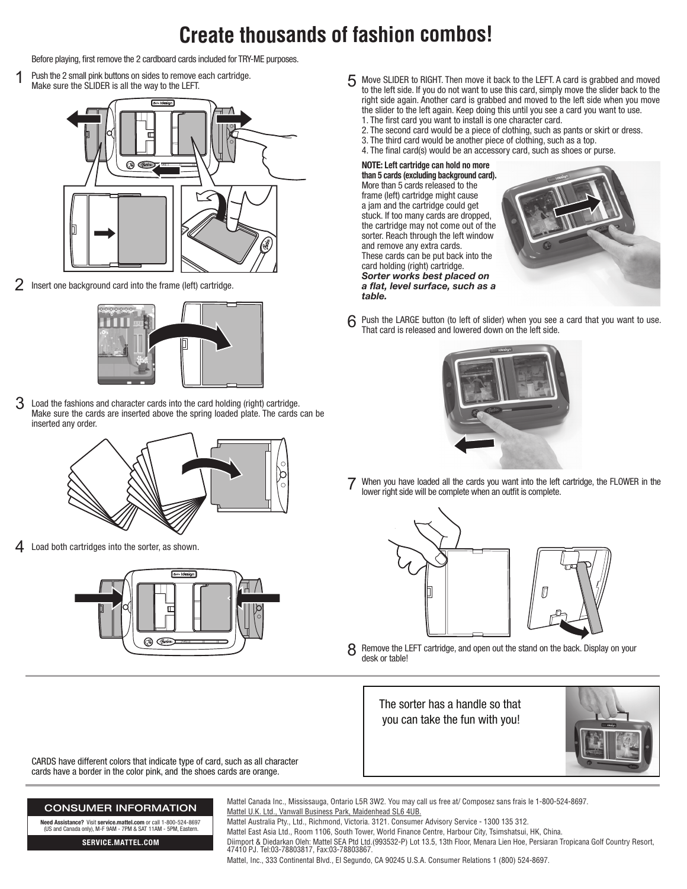## **Create thousands of fashion combos!**

Before playing, first remove the 2 cardboard cards included for TRY-ME purposes.

1 Push the 2 small pink buttons on sides to remove each cartridge. Make sure the SLIDER is all the way to the LEFT.



2 Insert one background card into the frame (left) cartridge.



 $3$  Load the fashions and character cards into the card holding (right) cartridge. Make sure the cards are inserted above the spring loaded plate. The cards can be inserted any order.



4 Load both cartridges into the sorter, as shown.



CARDS have different colors that indicate type of card, such as all character cards have a border in the color pink, and the shoes cards are orange.

- 5 Move SLIDER to RIGHT. Then move it back to the LEFT. A card is grabbed and moved to the left side. If you do not want to use this card, simply move the slider back to the right side again. Another card is grabbed and moved to the left side when you move the slider to the left again. Keep doing this until you see a card you want to use. 1. The first card you want to install is one character card.
	- 2. The second card would be a piece of clothing, such as pants or skirt or dress.
	- 3. The third card would be another piece of clothing, such as a top.
	- 4. The final card(s) would be an accessory card, such as shoes or purse.

**NOTE: Left cartridge can hold no more than 5 cards (excluding background card).** More than 5 cards released to the frame (left) cartridge might cause a jam and the cartridge could get stuck. If too many cards are dropped, the cartridge may not come out of the sorter. Reach through the left window and remove any extra cards. These cards can be put back into the card holding (right) cartridge. *Sorter works best placed on a flat, level surface, such as a table.*



Push the LARGE button (to left of slider) when you see a card that you want to use. That card is released and lowered down on the left side. 6



When you have loaded all the cards you want into the left cartridge, the FLOWER in the lower right side will be complete when an outfit is complete.



8 Remove the LEFT cartridge, and open out the stand on the back. Display on your desk or table!

The sorter has a handle so that you can take the fun with you!



## Mattel Canada Inc., Mississauga, Ontario L5R 3W2. You may call us free at/ Composez sans frais le 1-800-524-8697. Mattel U.K. Ltd., Vanwall Business Park, Maidenhead SL6 4UB. Mattel Australia Pty., Ltd., Richmond, Victoria. 3121. Consumer Advisory Service - 1300 135 312. Mattel East Asia Ltd., Room 1106, South Tower, World Finance Centre, Harbour City, Tsimshatsui, HK, China. Diimport & Diedarkan Oleh: Mattel SEA Ptd Ltd.(993532-P) Lot 13.5, 13th Floor, Menara Lien Hoe, Persiaran Tropicana Golf Country Resort, 47410 PJ. Tel:03-78803817, Fax:03-78803867.

**Need Assistance?** Visit **service.mattel.com** or call 1-800-524-8697 (US and Canada only), M-F 9AM - 7PM & SAT 11AM - 5PM, Eastern.

**SERVICE.MATTEL.COM**

CONSUMER INFORMATION

Mattel, Inc., 333 Continental Blvd., El Segundo, CA 90245 U.S.A. Consumer Relations 1 (800) 524-8697.